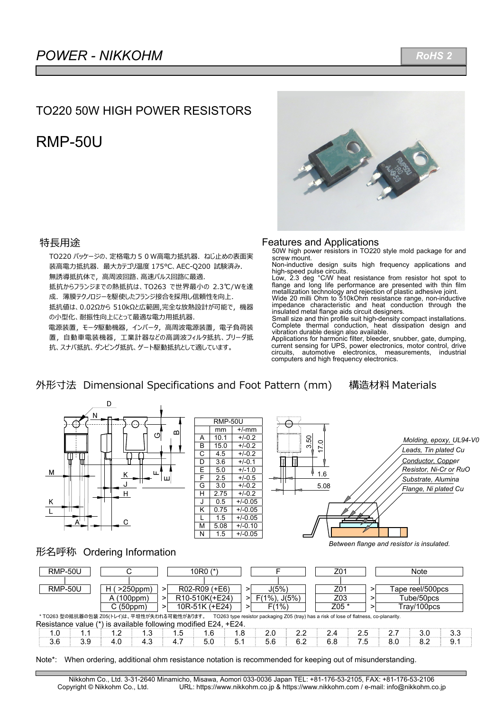# TO220 50W HIGH POWER RESISTORS

# RMP-50U



## 特長用途

TO220 パッケージの、定格電力50W高電力抵抗器. ねじ止めの表面実 装高電力抵抗器. 最大カテゴリ温度 175℃、AEC-Q200 試験済み. 無誘導抵抗体で, 高周波回路、高速パルス回路に最適. 抵抗からフランジまでの熱抵抗は、TO263 で世界最⼩の 2.3℃/Wを達 成. 薄膜テクノロジーを駆使したフランジ接合を採用し信頼性を向上. 抵抗値は、0.02Ωから 510kΩと広範囲,完全な放熱設計が可能で,機器 の小型化、耐振性向上にとって最適な電力用抵抗器. 電源装置, モータ駆動機器, インバータ, 高周波電源装置, 電子負荷装 置、自動車電装機器,工業計器などの高調波フィルタ抵抗、ブリーダ抵 抗、スナバ抵抗、ダンピング抵抗、ゲート駆動抵抗として適しています。

#### Features and Applications

50W high power resistors in TO220 style mold package for and screw mount.

Non-inductive design suits high frequency applications and high-speed pulse circuits. Low, 2.3 deg °C/W heat resistance from resistor hot spot to

flange and long life performance are presented with thin film metallization technology and rejection of plastic adhesive joint. Wide 20 milli Ohm to 510kOhm resistance range, non-inductive

impedance characteristic and heat conduction through the insulated metal flange aids circuit designers.

Small size and thin profile suit high-density compact installations. Complete thermal conduction, heat dissipation design and vibration durable design also available.

Applications for harmonic filter, bleeder, snubber, gate, dumping, current sensing for UPS, power electronics, motor control, drive circuits, automotive electronics, measurements, computers and high frequency electronics.

# 外形寸法 Dimensional Specifications and Foot Pattern (mm) 構造材料 Materials



*Between flange and resistor is insulated.* 

## 形名呼称 Ordering Information

|                                                                 | <b>RMP-50U</b>                                                                                                                         |                     |     | 10 $RO$ $(*)$ |                 |     |  |       |                     | Z01 |       | Note |  |     |                  |  |     |
|-----------------------------------------------------------------|----------------------------------------------------------------------------------------------------------------------------------------|---------------------|-----|---------------|-----------------|-----|--|-------|---------------------|-----|-------|------|--|-----|------------------|--|-----|
|                                                                 |                                                                                                                                        |                     |     |               |                 |     |  |       |                     |     |       |      |  |     |                  |  |     |
| <b>RMP-50U</b>                                                  |                                                                                                                                        | $>250$ ppm $)$<br>н |     | >             | $R02-R09 (+E6)$ | >   |  | J(5%) |                     |     | Z01   |      |  |     | Tape reel/500pcs |  |     |
|                                                                 |                                                                                                                                        | A (100ppm)          |     | >             | R10-510K(+E24)  |     |  |       | $F(1\%)$ , $J(5\%)$ |     | Z03   |      |  |     | Tube/50pcs       |  |     |
|                                                                 |                                                                                                                                        | C(50ppm)            |     | ⋗             | 10R-51K (+E24)  |     |  | F(1%) |                     |     | Z05 * |      |  |     | Trav/100pcs      |  |     |
|                                                                 | * TO263 型の抵抗器の包装 Z05(トレイ)は、平坦性が失われる可能性があります。<br>TO263 type resistor packaging Z05 (tray) has a risk of lose of flatness, co-planarity. |                     |     |               |                 |     |  |       |                     |     |       |      |  |     |                  |  |     |
| Resistance value (*) is available following modified E24, +E24. |                                                                                                                                        |                     |     |               |                 |     |  |       |                     |     |       |      |  |     |                  |  |     |
| 1.0                                                             | 1.1                                                                                                                                    | 1.2                 | 1.3 | $1.5^{\circ}$ | 1.6             | 1.8 |  | 2.0   | 2.2                 |     | 2.4   | 2.5  |  | 2.7 | 3.0              |  | 3.3 |
| 3.6                                                             | 3.9                                                                                                                                    | 4.0                 | 4.3 | 4.7           | 5.0             | 5.1 |  | 5.6   | 6.2                 |     | 6.8   | 7.5  |  | 8.0 | 8.2              |  | 9.1 |

Note\*: When ordering, additional ohm resistance notation is recommended for keeping out of misunderstanding.